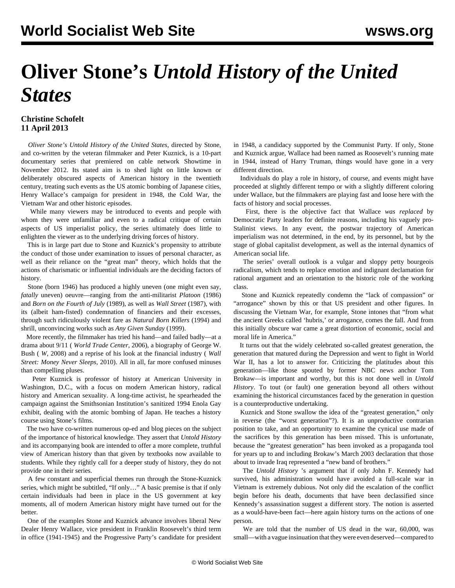## **Oliver Stone's** *Untold History of the United States*

## **Christine Schofelt 11 April 2013**

 *Oliver Stone's Untold History of the United States*, directed by Stone, and co-written by the veteran filmmaker and Peter Kuznick, is a 10-part documentary series that premiered on cable network Showtime in November 2012. Its stated aim is to shed light on little known or deliberately obscured aspects of American history in the twentieth century, treating such events as the US atomic bombing of Japanese cities, Henry Wallace's campaign for president in 1948, the Cold War, the Vietnam War and other historic episodes.

 While many viewers may be introduced to events and people with whom they were unfamiliar and even to a radical critique of certain aspects of US imperialist policy, the series ultimately does little to enlighten the viewer as to the underlying driving forces of history.

 This is in large part due to Stone and Kuznick's propensity to attribute the conduct of those under examination to issues of personal character, as well as their reliance on the "great man" theory, which holds that the actions of charismatic or influential individuals are the deciding factors of history.

 Stone (born 1946) has produced a highly uneven (one might even say, *fatally* uneven) oeuvre—ranging from the anti-militarist *Platoon* (1986) and *Born on the Fourth of July* (1989), as well as *Wall Street* (1987), with its (albeit ham-fisted) condemnation of financiers and their excesses, through such ridiculously violent fare as *Natural Born Killers* (1994) and shrill, unconvincing works such as *Any Given Sunday* (1999).

 More recently, the filmmaker has tried his hand—and failed badly—at a drama about 9/11 ( *World Trade Center*, 2006), a biography of George W. Bush ( *W*, 2008) and a reprise of his look at the financial industry ( *Wall Street: Money Never Sleeps,* 2010). All in all, far more confused minuses than compelling pluses.

 Peter Kuznick is professor of history at American University in Washington, D.C., with a focus on modern American history, radical history and American sexuality. A long-time activist, he spearheaded the campaign against the Smithsonian Institution's sanitized 1994 Enola Gay exhibit, dealing with the atomic bombing of Japan. He teaches a history course using Stone's films.

 The two have co-written numerous op-ed and blog pieces on the subject of the importance of historical knowledge. They assert that *Untold History* and its accompanying book are intended to offer a more complete, truthful view of American history than that given by textbooks now available to students. While they rightly call for a deeper study of history, they do not provide one in their series.

 A few constant and superficial themes run through the Stone-Kuznick series, which might be subtitled, "If only…" A basic premise is that if only certain individuals had been in place in the US government at key moments, all of modern American history might have turned out for the better.

 One of the examples Stone and Kuznick advance involves liberal New Dealer Henry Wallace, vice president in Franklin Roosevelt's third term in office (1941-1945) and the Progressive Party's candidate for president in 1948, a candidacy supported by the Communist Party. If only, Stone and Kuznick argue, Wallace had been named as Roosevelt's running mate in 1944, instead of Harry Truman, things would have gone in a very different direction.

 Individuals do play a role in history, of course, and events might have proceeded at slightly different tempo or with a slightly different coloring under Wallace, but the filmmakers are playing fast and loose here with the facts of history and social processes.

 First, there is the objective fact that Wallace *was replaced* by Democratic Party leaders for definite reasons, including his vaguely pro-Stalinist views. In any event, the postwar trajectory of American imperialism was not determined, in the end, by its personnel, but by the stage of global capitalist development, as well as the internal dynamics of American social life.

 The series' overall outlook is a vulgar and sloppy petty bourgeois radicalism, which tends to replace emotion and indignant declamation for rational argument and an orientation to the historic role of the working class.

 Stone and Kuznick repeatedly condemn the "lack of compassion" or "arrogance" shown by this or that US president and other figures. In discussing the Vietnam War, for example, Stone intones that "from what the ancient Greeks called 'hubris,' or arrogance, comes the fall. And from this initially obscure war came a great distortion of economic, social and moral life in America."

 It turns out that the widely celebrated so-called greatest generation, the generation that matured during the Depression and went to fight in World War II, has a lot to answer for. Criticizing the platitudes about this generation—like those spouted by former NBC news anchor Tom Brokaw—is important and worthy, but this is not done well in *Untold History*. To tout (or fault) one generation beyond all others without examining the historical circumstances faced by the generation in question is a counterproductive undertaking.

 Kuznick and Stone swallow the idea of the "greatest generation," only in reverse (the "worst generation"?). It is an unproductive contrarian position to take, and an opportunity to examine the cynical use made of the sacrifices by this generation has been missed. This is unfortunate, because the "greatest generation" has been invoked as a propaganda tool for years up to and including Brokaw's March 2003 declaration that those about to invade Iraq represented a "new band of brothers."

 The *Untold History* 's argument that if only John F. Kennedy had survived, his administration would have avoided a full-scale war in Vietnam is extremely dubious. Not only did the escalation of the conflict begin before his death, documents that have been declassified since Kennedy's assassination suggest a different story. The notion is asserted as a would-have-been fact—here again history turns on the actions of one person.

 We are told that the number of US dead in the war, 60,000, was small—with a vague insinuation that they were even deserved—compared to